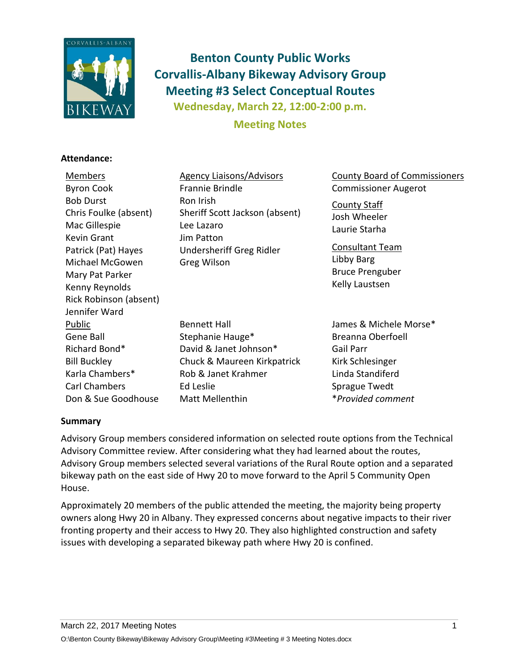

# **Benton County Public Works Corvallis-Albany Bikeway Advisory Group Meeting #3 Select Conceptual Routes Wednesday, March 22, 12:00-2:00 p.m.**

**Meeting Notes**

## **Attendance:**

Members Byron Cook Bob Durst Chris Foulke (absent) Mac Gillespie Kevin Grant Patrick (Pat) Hayes Michael McGowen Mary Pat Parker Kenny Reynolds Rick Robinson (absent) Jennifer Ward Agency Liaisons/Advisors Frannie Brindle Ron Irish Sheriff Scott Jackson (absent) Lee Lazaro Jim Patton Undersheriff Greg Ridler Greg Wilson County Board of Commissioners Commissioner Augerot County Staff Josh Wheeler Laurie Starha Consultant Team Libby Barg Bruce Prenguber Kelly Laustsen Public Gene Ball Richard Bond\* Bill Buckley Karla Chambers\* Carl Chambers Don & Sue Goodhouse Bennett Hall Stephanie Hauge\* David & Janet Johnson\* Chuck & Maureen Kirkpatrick Rob & Janet Krahmer Ed Leslie Matt Mellenthin James & Michele Morse\* Breanna Oberfoell Gail Parr Kirk Schlesinger Linda Standiferd Sprague Twedt \**Provided comment*

## **Summary**

Advisory Group members considered information on selected route options from the Technical Advisory Committee review. After considering what they had learned about the routes, Advisory Group members selected several variations of the Rural Route option and a separated bikeway path on the east side of Hwy 20 to move forward to the April 5 Community Open House.

Approximately 20 members of the public attended the meeting, the majority being property owners along Hwy 20 in Albany. They expressed concerns about negative impacts to their river fronting property and their access to Hwy 20. They also highlighted construction and safety issues with developing a separated bikeway path where Hwy 20 is confined.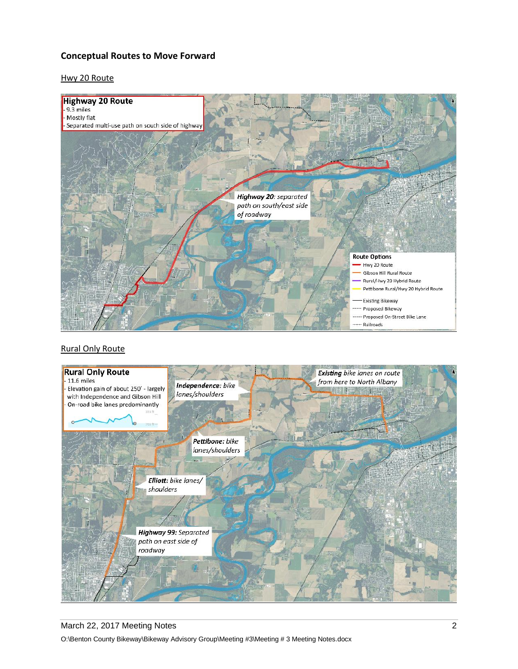## **Conceptual Routes to Move Forward**

#### Hwy 20 Route



#### Rural Only Route



# March 22, 2017 Meeting Notes 2018 2018 2019 2020 2021 2022 2023 2024 2024 2022 2024 2024 2022 2024 2022 2022 2024 2022 2022 2022 2022 2022 2022 2022 2022 2022 2022 2022 2022 2022 2022 2022 2022 2022 2022 2022 2022 2022 202 O:\Benton County Bikeway\Bikeway Advisory Group\Meeting #3\Meeting # 3 Meeting Notes.docx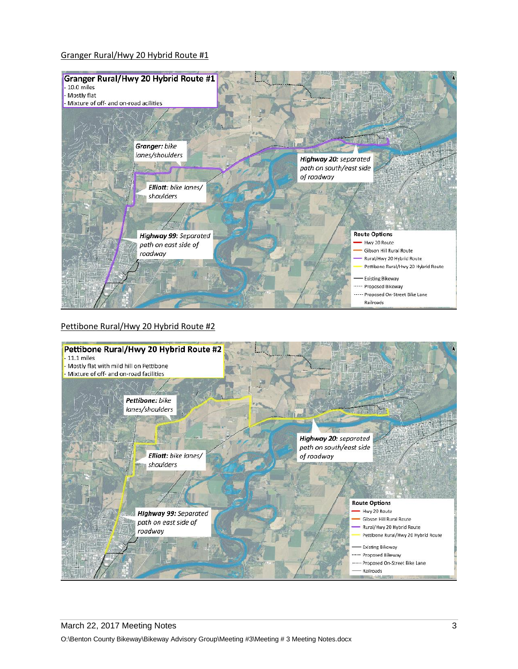#### Granger Rural/Hwy 20 Hybrid Route #1



#### Pettibone Rural/Hwy 20 Hybrid Route #2